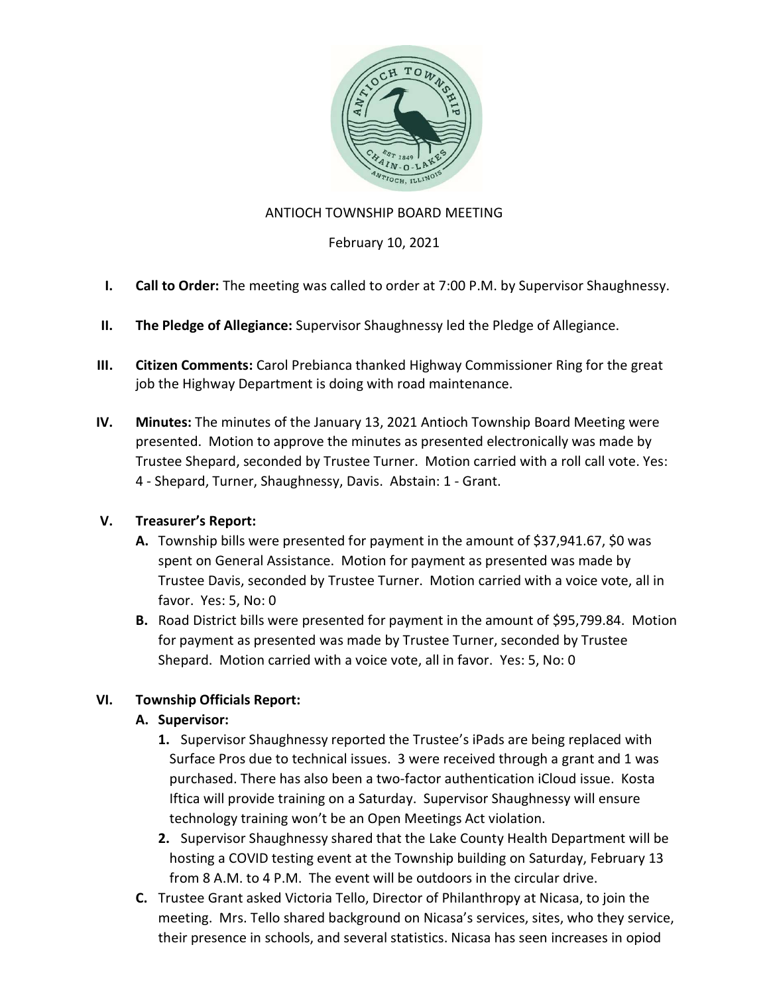

### ANTIOCH TOWNSHIP BOARD MEETING

### February 10, 2021

- I. Call to Order: The meeting was called to order at 7:00 P.M. by Supervisor Shaughnessy.
- II. The Pledge of Allegiance: Supervisor Shaughnessy led the Pledge of Allegiance.
- III. Citizen Comments: Carol Prebianca thanked Highway Commissioner Ring for the great job the Highway Department is doing with road maintenance.
- IV. Minutes: The minutes of the January 13, 2021 Antioch Township Board Meeting were presented. Motion to approve the minutes as presented electronically was made by Trustee Shepard, seconded by Trustee Turner. Motion carried with a roll call vote. Yes: 4 - Shepard, Turner, Shaughnessy, Davis. Abstain: 1 - Grant.

## V. Treasurer's Report:

- A. Township bills were presented for payment in the amount of \$37,941.67, \$0 was spent on General Assistance. Motion for payment as presented was made by Trustee Davis, seconded by Trustee Turner. Motion carried with a voice vote, all in favor. Yes: 5, No: 0
- B. Road District bills were presented for payment in the amount of \$95,799.84. Motion for payment as presented was made by Trustee Turner, seconded by Trustee Shepard. Motion carried with a voice vote, all in favor. Yes: 5, No: 0

## VI. Township Officials Report:

## A. Supervisor:

- 1. Supervisor Shaughnessy reported the Trustee's iPads are being replaced with Surface Pros due to technical issues. 3 were received through a grant and 1 was purchased. There has also been a two-factor authentication iCloud issue. Kosta Iftica will provide training on a Saturday. Supervisor Shaughnessy will ensure technology training won't be an Open Meetings Act violation.
- 2. Supervisor Shaughnessy shared that the Lake County Health Department will be hosting a COVID testing event at the Township building on Saturday, February 13 from 8 A.M. to 4 P.M. The event will be outdoors in the circular drive.
- C. Trustee Grant asked Victoria Tello, Director of Philanthropy at Nicasa, to join the meeting. Mrs. Tello shared background on Nicasa's services, sites, who they service, their presence in schools, and several statistics. Nicasa has seen increases in opiod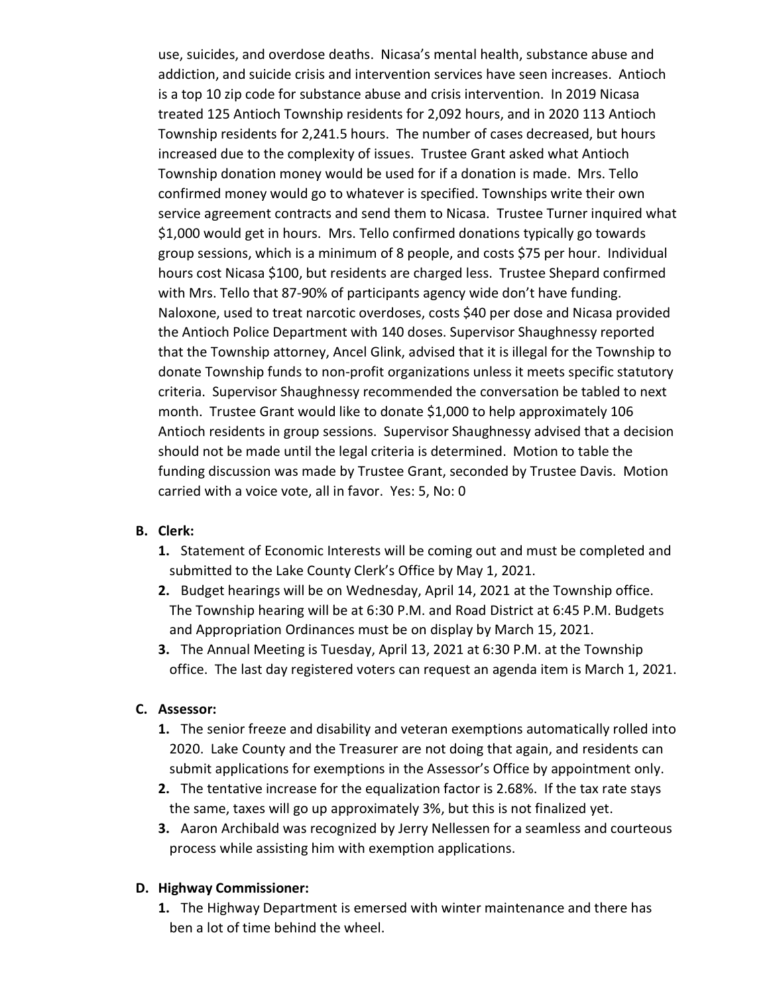use, suicides, and overdose deaths. Nicasa's mental health, substance abuse and addiction, and suicide crisis and intervention services have seen increases. Antioch is a top 10 zip code for substance abuse and crisis intervention. In 2019 Nicasa treated 125 Antioch Township residents for 2,092 hours, and in 2020 113 Antioch Township residents for 2,241.5 hours. The number of cases decreased, but hours increased due to the complexity of issues. Trustee Grant asked what Antioch Township donation money would be used for if a donation is made. Mrs. Tello confirmed money would go to whatever is specified. Townships write their own service agreement contracts and send them to Nicasa. Trustee Turner inquired what \$1,000 would get in hours. Mrs. Tello confirmed donations typically go towards group sessions, which is a minimum of 8 people, and costs \$75 per hour. Individual hours cost Nicasa \$100, but residents are charged less. Trustee Shepard confirmed with Mrs. Tello that 87-90% of participants agency wide don't have funding. Naloxone, used to treat narcotic overdoses, costs \$40 per dose and Nicasa provided the Antioch Police Department with 140 doses. Supervisor Shaughnessy reported that the Township attorney, Ancel Glink, advised that it is illegal for the Township to donate Township funds to non-profit organizations unless it meets specific statutory criteria. Supervisor Shaughnessy recommended the conversation be tabled to next month. Trustee Grant would like to donate \$1,000 to help approximately 106 Antioch residents in group sessions. Supervisor Shaughnessy advised that a decision should not be made until the legal criteria is determined. Motion to table the funding discussion was made by Trustee Grant, seconded by Trustee Davis. Motion carried with a voice vote, all in favor. Yes: 5, No: 0

## B. Clerk:

- 1. Statement of Economic Interests will be coming out and must be completed and submitted to the Lake County Clerk's Office by May 1, 2021.
- 2. Budget hearings will be on Wednesday, April 14, 2021 at the Township office. The Township hearing will be at 6:30 P.M. and Road District at 6:45 P.M. Budgets and Appropriation Ordinances must be on display by March 15, 2021.
- 3. The Annual Meeting is Tuesday, April 13, 2021 at 6:30 P.M. at the Township office. The last day registered voters can request an agenda item is March 1, 2021.

### C. Assessor:

- 1. The senior freeze and disability and veteran exemptions automatically rolled into 2020. Lake County and the Treasurer are not doing that again, and residents can submit applications for exemptions in the Assessor's Office by appointment only.
- 2. The tentative increase for the equalization factor is 2.68%. If the tax rate stays the same, taxes will go up approximately 3%, but this is not finalized yet.
- 3. Aaron Archibald was recognized by Jerry Nellessen for a seamless and courteous process while assisting him with exemption applications.

#### D. Highway Commissioner:

1. The Highway Department is emersed with winter maintenance and there has ben a lot of time behind the wheel.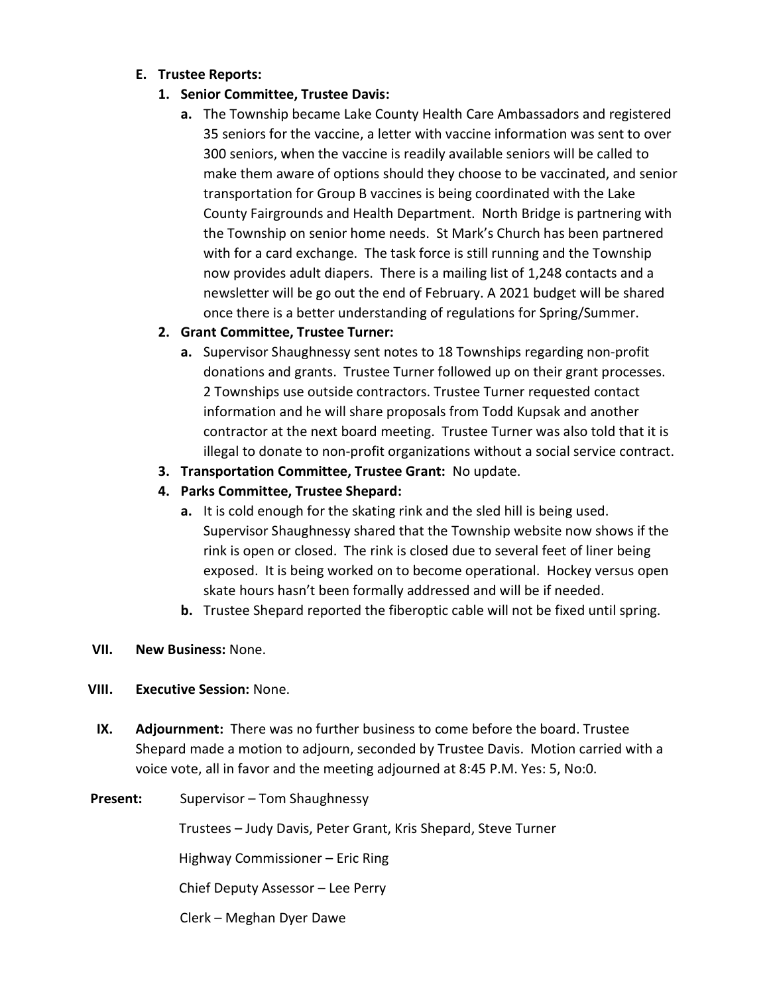### E. Trustee Reports:

- 1. Senior Committee, Trustee Davis:
	- a. The Township became Lake County Health Care Ambassadors and registered 35 seniors for the vaccine, a letter with vaccine information was sent to over 300 seniors, when the vaccine is readily available seniors will be called to make them aware of options should they choose to be vaccinated, and senior transportation for Group B vaccines is being coordinated with the Lake County Fairgrounds and Health Department. North Bridge is partnering with the Township on senior home needs. St Mark's Church has been partnered with for a card exchange. The task force is still running and the Township now provides adult diapers. There is a mailing list of 1,248 contacts and a newsletter will be go out the end of February. A 2021 budget will be shared once there is a better understanding of regulations for Spring/Summer.

# 2. Grant Committee, Trustee Turner:

- a. Supervisor Shaughnessy sent notes to 18 Townships regarding non-profit donations and grants. Trustee Turner followed up on their grant processes. 2 Townships use outside contractors. Trustee Turner requested contact information and he will share proposals from Todd Kupsak and another contractor at the next board meeting. Trustee Turner was also told that it is illegal to donate to non-profit organizations without a social service contract.
- 3. Transportation Committee, Trustee Grant: No update.
- 4. Parks Committee, Trustee Shepard:
	- a. It is cold enough for the skating rink and the sled hill is being used. Supervisor Shaughnessy shared that the Township website now shows if the rink is open or closed. The rink is closed due to several feet of liner being exposed. It is being worked on to become operational. Hockey versus open skate hours hasn't been formally addressed and will be if needed.
	- b. Trustee Shepard reported the fiberoptic cable will not be fixed until spring.

## VII. New Business: None.

## VIII. Executive Session: None.

IX. Adjournment: There was no further business to come before the board. Trustee Shepard made a motion to adjourn, seconded by Trustee Davis. Motion carried with a voice vote, all in favor and the meeting adjourned at 8:45 P.M. Yes: 5, No:0.

### Present: Supervisor – Tom Shaughnessy

Trustees – Judy Davis, Peter Grant, Kris Shepard, Steve Turner

Highway Commissioner – Eric Ring

Chief Deputy Assessor – Lee Perry

Clerk – Meghan Dyer Dawe